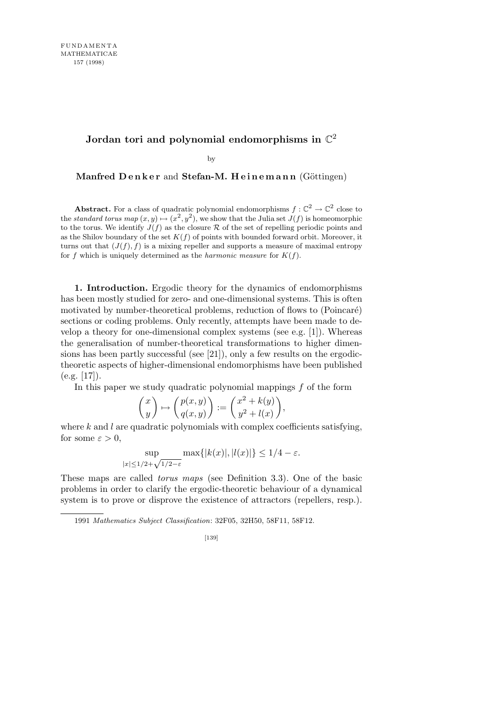## Jordan tori and polynomial endomorphisms in  $\mathbb{C}^2$

by

**Manfred Denker** and **Stefan-M. Heinemann** (Göttingen)

**Abstract.** For a class of quadratic polynomial endomorphisms  $f: \mathbb{C}^2 \to \mathbb{C}^2$  close to the *standard torus map*  $(x, y) \mapsto (x^2, y^2)$ , we show that the Julia set  $J(f)$  is homeomorphic to the torus. We identify  $J(f)$  as the closure  $R$  of the set of repelling periodic points and as the Shilov boundary of the set  $K(f)$  of points with bounded forward orbit. Moreover, it turns out that  $(J(f), f)$  is a mixing repeller and supports a measure of maximal entropy for *f* which is uniquely determined as the *harmonic measure* for  $K(f)$ .

**1. Introduction.** Ergodic theory for the dynamics of endomorphisms has been mostly studied for zero- and one-dimensional systems. This is often motivated by number-theoretical problems, reduction of flows to (Poincaré) sections or coding problems. Only recently, attempts have been made to develop a theory for one-dimensional complex systems (see e.g. [1]). Whereas the generalisation of number-theoretical transformations to higher dimensions has been partly successful (see [21]), only a few results on the ergodictheoretic aspects of higher-dimensional endomorphisms have been published  $(e.g. [17]).$ 

In this paper we study quadratic polynomial mappings *f* of the form

$$
\begin{pmatrix} x \\ y \end{pmatrix} \mapsto \begin{pmatrix} p(x,y) \\ q(x,y) \end{pmatrix} := \begin{pmatrix} x^2 + k(y) \\ y^2 + l(x) \end{pmatrix},
$$

where *k* and *l* are quadratic polynomials with complex coefficients satisfying, for some  $\varepsilon > 0$ ,

$$
\sup_{|x| \le 1/2 + \sqrt{1/2 - \varepsilon}} \max\{|k(x)|, |l(x)|\} \le 1/4 - \varepsilon.
$$

These maps are called *torus maps* (see Definition 3.3). One of the basic problems in order to clarify the ergodic-theoretic behaviour of a dynamical system is to prove or disprove the existence of attractors (repellers, resp.).

1991 *Mathematics Subject Classification*: 32F05, 32H50, 58F11, 58F12.

<sup>[139]</sup>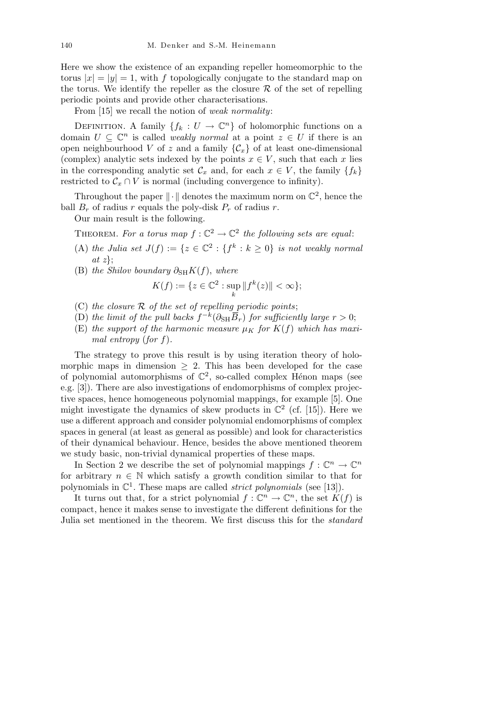Here we show the existence of an expanding repeller homeomorphic to the torus  $|x| = |y| = 1$ , with *f* topologically conjugate to the standard map on the torus. We identify the repeller as the closure  $R$  of the set of repelling periodic points and provide other characterisations.

From [15] we recall the notion of *weak normality*:

DEFINITION. A family  ${f_k : U \to \mathbb{C}^n}$  of holomorphic functions on a domain  $U \subseteq \mathbb{C}^n$  is called *weakly normal* at a point  $z \in U$  if there is an open neighbourhood *V* of *z* and a family  ${C_x}$  of at least one-dimensional (complex) analytic sets indexed by the points  $x \in V$ , such that each  $x$  lies in the corresponding analytic set  $\mathcal{C}_x$  and, for each  $x \in V$ , the family  $\{f_k\}$ restricted to  $\mathcal{C}_x \cap V$  is normal (including convergence to infinity).

Throughout the paper  $\|\cdot\|$  denotes the maximum norm on  $\mathbb{C}^2$ , hence the ball  $B_r$  of radius *r* equals the poly-disk  $P_r$  of radius *r*.

Our main result is the following.

THEOREM. For a torus map  $f: \mathbb{C}^2 \to \mathbb{C}^2$  the following sets are equal:

- (A) *the Julia set*  $J(f) := \{z \in \mathbb{C}^2 : \{f^k : k \geq 0\}$  *is not weakly normal at z}*;
- (B) *the Shilov boundary*  $\partial_{\text{SH}} K(f)$ *, where*

$$
K(f) := \{ z \in \mathbb{C}^2 : \sup_k ||f^k(z)|| < \infty \};
$$

- (C) *the closure R of the set of repelling periodic points*;
- (D) the limit of the pull backs  $f^{-k}(\partial_{\text{SH}} \overline{B}_r)$  for sufficiently large  $r > 0$ ;
- (E) *the support of the harmonic measure*  $\mu_K$  *for*  $K(f)$  *which has maximal entropy* (*for f*)*.*

The strategy to prove this result is by using iteration theory of holomorphic maps in dimension *≥* 2. This has been developed for the case of polynomial automorphisms of  $\mathbb{C}^2$ , so-called complex Hénon maps (see e.g. [3]). There are also investigations of endomorphisms of complex projective spaces, hence homogeneous polynomial mappings, for example [5]. One might investigate the dynamics of skew products in  $\mathbb{C}^2$  (cf. [15]). Here we use a different approach and consider polynomial endomorphisms of complex spaces in general (at least as general as possible) and look for characteristics of their dynamical behaviour. Hence, besides the above mentioned theorem we study basic, non-trivial dynamical properties of these maps.

In Section 2 we describe the set of polynomial mappings  $f: \mathbb{C}^n \to \mathbb{C}^n$ for arbitrary  $n \in \mathbb{N}$  which satisfy a growth condition similar to that for polynomials in  $\mathbb{C}^1$ . These maps are called *strict polynomials* (see [13]).

It turns out that, for a strict polynomial  $f: \mathbb{C}^n \to \mathbb{C}^n$ , the set  $K(f)$  is compact, hence it makes sense to investigate the different definitions for the Julia set mentioned in the theorem. We first discuss this for the *standard*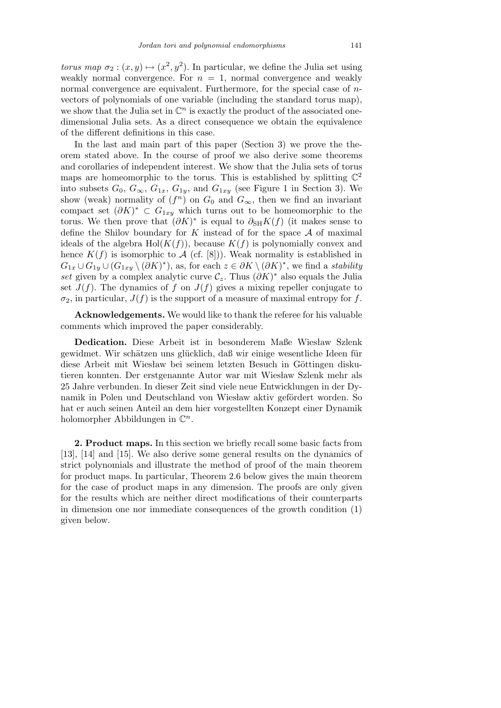*torus map*  $\sigma_2 : (x, y) \mapsto (x^2, y^2)$ . In particular, we define the Julia set using weakly normal convergence. For  $n = 1$ , normal convergence and weakly normal convergence are equivalent. Furthermore, for the special case of *n*vectors of polynomials of one variable (including the standard torus map), we show that the Julia set in  $\mathbb{C}^n$  is exactly the product of the associated onedimensional Julia sets. As a direct consequence we obtain the equivalence of the different definitions in this case.

In the last and main part of this paper (Section 3) we prove the theorem stated above. In the course of proof we also derive some theorems and corollaries of independent interest. We show that the Julia sets of torus maps are homeomorphic to the torus. This is established by splitting  $\mathbb{C}^2$ into subsets  $G_0, G_{\infty}, G_{1x}, G_{1y}$ , and  $G_{1xy}$  (see Figure 1 in Section 3). We show (weak) normality of  $(f^n)$  on  $G_0$  and  $G_{\infty}$ , then we find an invariant compact set  $(\partial K)^*$  ⊂  $G_{1xy}$  which turns out to be homeomorphic to the torus. We then prove that  $(\partial K)^*$  is equal to  $\partial_{SH} K(f)$  (it makes sense to define the Shilov boundary for *K* instead of for the space *A* of maximal ideals of the algebra  $Hol(K(f))$ , because  $K(f)$  is polynomially convex and hence  $K(f)$  is isomorphic to *A* (cf. [8])). Weak normality is established in  $G_{1x} \cup G_{1y} \cup (G_{1xy} \setminus (\partial K)^*)$ , as, for each  $z \in \partial K \setminus (\partial K)^*$ , we find a *stability set* given by a complex analytic curve  $\mathcal{C}_z$ . Thus  $(\partial K)^*$  also equals the Julia set  $J(f)$ . The dynamics of f on  $J(f)$  gives a mixing repeller conjugate to  $\sigma_2$ , in particular,  $J(f)$  is the support of a measure of maximal entropy for *f*.

**Acknowledgements.** We would like to thank the referee for his valuable comments which improved the paper considerably.

**Dedication.** Diese Arbeit ist in besonderem Maße Wiesław Szlenk gewidmet. Wir schätzen uns glücklich, daß wir einige wesentliche Ideen für diese Arbeit mit Wiesław bei seinem letzten Besuch in Göttingen diskutieren konnten. Der erstgenannte Autor war mit Wieslaw Szlenk mehr als 25 Jahre verbunden. In dieser Zeit sind viele neue Entwicklungen in der Dynamik in Polen und Deutschland von Wiesław aktiv gefördert worden. So hat er auch seinen Anteil an dem hier vorgestellten Konzept einer Dynamik holomorpher Abbildungen in C *n*.

**2. Product maps.** In this section we briefly recall some basic facts from [13], [14] and [15]. We also derive some general results on the dynamics of strict polynomials and illustrate the method of proof of the main theorem for product maps. In particular, Theorem 2.6 below gives the main theorem for the case of product maps in any dimension. The proofs are only given for the results which are neither direct modifications of their counterparts in dimension one nor immediate consequences of the growth condition (1) given below.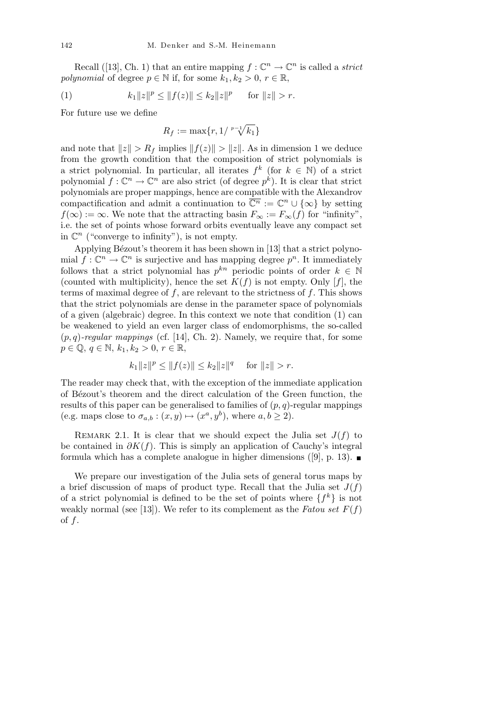Recall ([13], Ch. 1) that an entire mapping  $f: \mathbb{C}^n \to \mathbb{C}^n$  is called a *strict polynomial* of degree  $p \in \mathbb{N}$  if, for some  $k_1, k_2 > 0, r \in \mathbb{R}$ ,

(1) 
$$
k_1 \|z\|^p \le \|f(z)\| \le k_2 \|z\|^p \quad \text{ for } \|z\| > r.
$$

For future use we define

$$
R_f := \max\{r, 1/ \sqrt[p-1]{k_1}\}
$$

and note that  $||z|| > R_f$  implies  $||f(z)|| > ||z||$ . As in dimension 1 we deduce from the growth condition that the composition of strict polynomials is a strict polynomial. In particular, all iterates  $f^k$  (for  $k \in \mathbb{N}$ ) of a strict polynomial  $f: \mathbb{C}^n \to \mathbb{C}^n$  are also strict (of degree  $p^k$ ). It is clear that strict polynomials are proper mappings, hence are compatible with the Alexandrov compactification and admit a continuation to  $\overline{\mathbb{C}^n} := \mathbb{C}^n \cup \{\infty\}$  by setting  $f(\infty) := \infty$ . We note that the attracting basin  $F_{\infty} := F_{\infty}(f)$  for "infinity", i.e. the set of points whose forward orbits eventually leave any compact set in  $\mathbb{C}^n$  ("converge to infinity"), is not empty.

Applying Bézout's theorem it has been shown in [13] that a strict polynomial  $f: \mathbb{C}^n \to \mathbb{C}^n$  is surjective and has mapping degree  $p^n$ . It immediately follows that a strict polynomial has  $p^{kn}$  periodic points of order  $k \in \mathbb{N}$ (counted with multiplicity), hence the set  $K(f)$  is not empty. Only [f], the terms of maximal degree of *f*, are relevant to the strictness of *f*. This shows that the strict polynomials are dense in the parameter space of polynomials of a given (algebraic) degree. In this context we note that condition (1) can be weakened to yield an even larger class of endomorphisms, the so-called  $(p, q)$ -regular mappings (cf. [14], Ch. 2). Namely, we require that, for some *p* ∈ **Q**, *q* ∈ N, *k*<sub>1</sub>, *k*<sub>2</sub> > 0, *r* ∈ **R**,

$$
k_1||z||^p \le ||f(z)|| \le k_2||z||^q \quad \text{ for } ||z|| > r.
$$

The reader may check that, with the exception of the immediate application of B´ezout's theorem and the direct calculation of the Green function, the results of this paper can be generalised to families of  $(p, q)$ -regular mappings (e.g. maps close to  $\sigma_{a,b}: (x, y) \mapsto (x^a, y^b)$ , where  $a, b \ge 2$ ).

REMARK 2.1. It is clear that we should expect the Julia set  $J(f)$  to be contained in *∂K*(*f*). This is simply an application of Cauchy's integral formula which has a complete analogue in higher dimensions ([9], p. 13).

We prepare our investigation of the Julia sets of general torus maps by a brief discussion of maps of product type. Recall that the Julia set  $J(f)$ of a strict polynomial is defined to be the set of points where  $\{f^k\}$  is not weakly normal (see [13]). We refer to its complement as the *Fatou set*  $F(f)$ of *f*.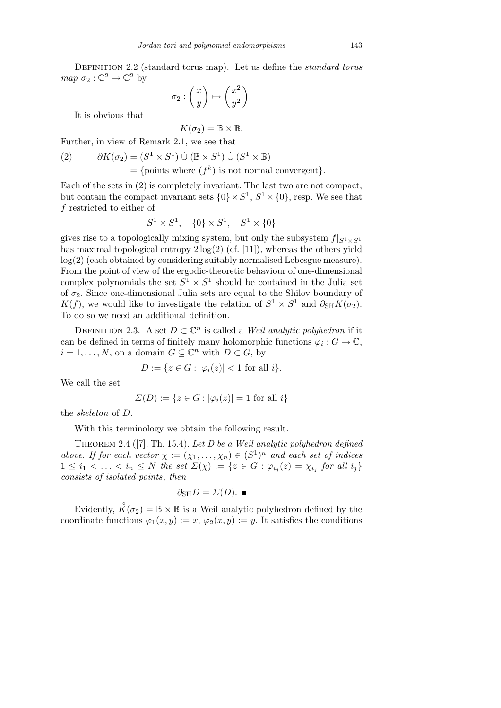Definition 2.2 (standard torus map). Let us define the *standard torus map*  $\sigma_2 : \mathbb{C}^2 \to \mathbb{C}^2$  by  $\overline{\phantom{a}}$  $\mathbf{r}$  $\overline{a}$  $\mathbf{r}$ 

$$
\sigma_2: \begin{pmatrix} x \\ y \end{pmatrix} \mapsto \begin{pmatrix} x^2 \\ y^2 \end{pmatrix}
$$

*.*

It is obvious that

$$
K(\sigma_2) = \overline{\mathbb{B}} \times \overline{\mathbb{B}}.
$$

Further, in view of Remark 2.1, we see that

(2) 
$$
\partial K(\sigma_2) = (S^1 \times S^1) \cup (\mathbb{B} \times S^1) \cup (S^1 \times \mathbb{B})
$$
  
= {points where  $(f^k)$  is not normal convergent}.

Each of the sets in (2) is completely invariant. The last two are not compact, but contain the compact invariant sets  $\{0\} \times S^1$ ,  $S^1 \times \{0\}$ , resp. We see that *f* restricted to either of

$$
S^1 \times S^1
$$
,  $\{0\} \times S^1$ ,  $S^1 \times \{0\}$ 

gives rise to a topologically mixing system, but only the subsystem  $f|_{S^1 \times S^1}$ has maximal topological entropy  $2 \log(2)$  (cf. [11]), whereas the others yield log(2) (each obtained by considering suitably normalised Lebesgue measure). From the point of view of the ergodic-theoretic behaviour of one-dimensional complex polynomials the set  $S^1 \times S^1$  should be contained in the Julia set of  $\sigma_2$ . Since one-dimensional Julia sets are equal to the Shilov boundary of *K*(*f*), we would like to investigate the relation of  $S^1 \times S^1$  and  $\partial_{SH} K(\sigma_2)$ . To do so we need an additional definition.

DEFINITION 2.3. A set  $D \subset \mathbb{C}^n$  is called a *Weil analytic polyhedron* if it can be defined in terms of finitely many holomorphic functions  $\varphi_i: G \to \mathbb{C}$ ,  $i = 1, \ldots, N$ , on a domain  $G \subseteq \mathbb{C}^n$  with  $\overline{D} \subset G$ , by

$$
D := \{ z \in G : |\varphi_i(z)| < 1 \text{ for all } i \}.
$$

We call the set

$$
\Sigma(D) := \{ z \in G : |\varphi_i(z)| = 1 \text{ for all } i \}
$$

the *skeleton* of *D*.

With this terminology we obtain the following result.

Theorem 2.4 ([7], Th. 15.4). *Let D be a Weil analytic polyhedron defined above. If for each vector*  $\chi := (\chi_1, \ldots, \chi_n) \in (S^1)^n$  *and each set of indices*  $1 \leq i_1 < \ldots < i_n \leq N$  the set  $\Sigma(\chi) := \{ z \in G : \varphi_{i_j}(z) = \chi_{i_j} \text{ for all } i_j \}$ *consists of isolated points*, *then*

$$
\partial_{\mathrm{SH}} \overline{D} = \Sigma(D). \blacksquare
$$

Evidently,  $\mathring{K}(\sigma_2) = \mathbb{B} \times \mathbb{B}$  is a Weil analytic polyhedron defined by the coordinate functions  $\varphi_1(x, y) := x, \varphi_2(x, y) := y$ . It satisfies the conditions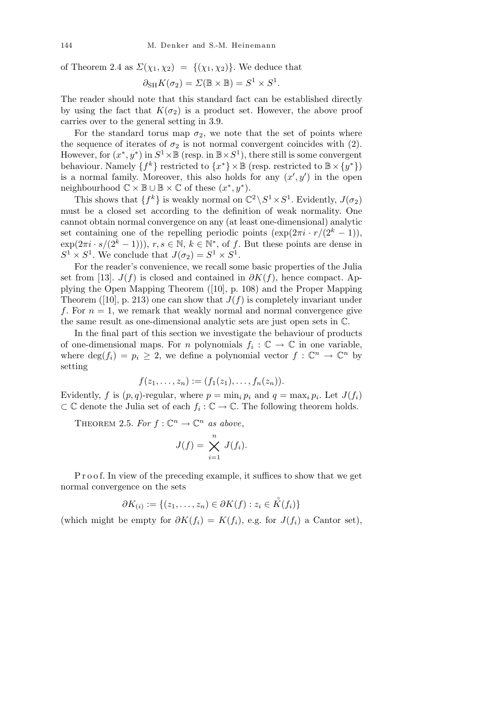of Theorem 2.4 as  $\Sigma(\chi_1, \chi_2) = \{(\chi_1, \chi_2)\}\.$  We deduce that

$$
\partial_{SH} K(\sigma_2) = \Sigma (\mathbb{B} \times \mathbb{B}) = S^1 \times S^1.
$$

The reader should note that this standard fact can be established directly by using the fact that  $K(\sigma_2)$  is a product set. However, the above proof carries over to the general setting in 3.9.

For the standard torus map  $\sigma_2$ , we note that the set of points where the sequence of iterates of  $\sigma_2$  is not normal convergent coincides with (2). However, for  $(x^*, y^*)$  in  $S^1 \times \mathbb{B}$  (resp. in  $\mathbb{B} \times S^1$ ), there still is some convergent behaviour. Namely  $\{f^k\}$  restricted to  $\{x^*\}\times\mathbb{B}$  (resp. restricted to  $\mathbb{B}\times\{y^*\}$ ) is a normal family. Moreover, this also holds for any  $(x', y')$  in the open neighbourhood  $\mathbb{C} \times \mathbb{B} \cup \mathbb{B} \times \mathbb{C}$  of these  $(x^*, y^*)$ .

This shows that  $\{f^k\}$  is weakly normal on  $\mathbb{C}^2 \backslash S^1 \times S^1$ . Evidently,  $J(\sigma_2)$ must be a closed set according to the definition of weak normality. One cannot obtain normal convergence on any (at least one-dimensional) analytic set containing one of the repelling periodic points  $(\exp(2\pi i \cdot r/(2^k-1)))$ ,  $\exp(2\pi i \cdot s/(2^k-1))$ ,  $r, s \in \mathbb{N}, k \in \mathbb{N}^*$ , of f. But these points are dense in  $S^1 \times S^1$ . We conclude that  $J(\sigma_2) = S^1 \times S^1$ .

For the reader's convenience, we recall some basic properties of the Julia set from [13].  $J(f)$  is closed and contained in  $\partial K(f)$ , hence compact. Applying the Open Mapping Theorem ([10], p. 108) and the Proper Mapping Theorem ([10], p. 213) one can show that  $J(f)$  is completely invariant under *f*. For  $n = 1$ , we remark that weakly normal and normal convergence give the same result as one-dimensional analytic sets are just open sets in C.

In the final part of this section we investigate the behaviour of products of one-dimensional maps. For *n* polynomials  $f_i: \mathbb{C} \to \mathbb{C}$  in one variable, where  $\deg(f_i) = p_i \geq 2$ , we define a polynomial vector  $f: \mathbb{C}^n \to \mathbb{C}^n$  by setting

$$
f(z_1,\ldots,z_n) := (f_1(z_1),\ldots,f_n(z_n)).
$$

Evidently, *f* is  $(p, q)$ -regular, where  $p = \min_i p_i$  and  $q = \max_i p_i$ . Let  $J(f_i)$ *⊂* C denote the Julia set of each *f<sup>i</sup>* : C *→* C. The following theorem holds.

THEOREM 2.5. For  $f: \mathbb{C}^n \to \mathbb{C}^n$  as above,

$$
J(f) = \bigtimes_{i=1}^{n} J(f_i).
$$

P r o o f. In view of the preceding example, it suffices to show that we get normal convergence on the sets

$$
\partial K_{(i)} := \{(z_1, \dots, z_n) \in \partial K(f) : z_i \in \mathring{K}(f_i)\}
$$

(which might be empty for  $\partial K(f_i) = K(f_i)$ , e.g. for  $J(f_i)$  a Cantor set),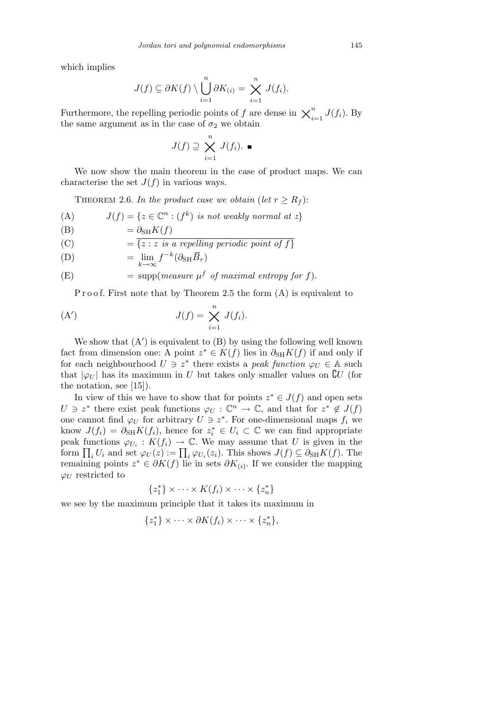which implies

$$
J(f) \subseteq \partial K(f) \setminus \bigcup_{i=1}^n \partial K_{(i)} = \bigtimes_{i=1}^n J(f_i).
$$

Furthermore, the repelling periodic points of *f* are dense in  $\chi_i^n$  $\sum_{i=1}^{n} J(f_i)$ . By the same argument as in the case of  $\sigma_2$  we obtain

$$
J(f) \supseteq \bigtimes_{i=1}^{n} J(f_i). \blacksquare
$$

We now show the main theorem in the case of product maps. We can characterise the set  $J(f)$  in various ways.

THEOREM 2.6. *In the product case we obtain* (*let*  $r \geq R_f$ ):

(A) 
$$
J(f) = \{ z \in \mathbb{C}^n : (f^k) \text{ is not weakly normal at } z \}
$$

$$
(B) \qquad \qquad = \partial_{SH} K(f)
$$

(C) = 
$$
\{z : z \text{ is a repelling periodic point of } f\}
$$

(D) = 
$$
\lim_{k \to \infty} f^{-k} (\partial_{\text{SH}} \overline{B}_r)
$$

(E) = supp(*measure* 
$$
\mu^f
$$
 *of maximal entropy for*  $f$ ).

P r o o f. First note that by Theorem 2.5 the form  $(A)$  is equivalent to

(A') 
$$
J(f) = \bigtimes_{i=1}^{n} J(f_i).
$$

We show that  $(A')$  is equivalent to  $(B)$  by using the following well known fact from dimension one: A point  $z^* \in K(f)$  lies in  $\partial_{SH} K(f)$  if and only if for each neighbourhood  $U \ni z^*$  there exists a *peak function*  $\varphi_U \in A$  such that  $|\varphi_U|$  has its maximum in *U* but takes only smaller values on  $\mathcal{C}U$  (for the notation, see [15]).

In view of this we have to show that for points  $z^* \in J(f)$  and open sets  $U \ni z^*$  there exist peak functions  $\varphi_U : \mathbb{C}^n \to \mathbb{C}$ , and that for  $z^* \notin J(f)$ one cannot find  $\varphi_U$  for arbitrary  $U \ni z^*$ . For one-dimensional maps  $f_i$  we know  $J(f_i) = \partial_{SH} K(f_i)$ , hence for  $z_i^* \in U_i \subset \mathbb{C}$  we can find appropriate peak functions  $\varphi_{U_i}: K(f_i) \to \mathbb{C}$ . We may assume that *U* is given in the form  $\prod_i U_i$  and set  $\varphi_U(z) := \prod_i \varphi_{U_i}(z_i)$ . This shows  $J(f) \subseteq \partial_{SH} K(f)$ . The remaining points  $z^* \in \partial K(f)$  lie in sets  $\partial K_{(i)}$ . If we consider the mapping  $\varphi_U$  restricted to

$$
\{z_1^*\}\times\cdots\times K(f_i)\times\cdots\times\{z_n^*\}
$$

we see by the maximum principle that it takes its maximum in

$$
\{z_1^*\}\times\cdots\times\partial K(f_i)\times\cdots\times\{z_n^*\},\,
$$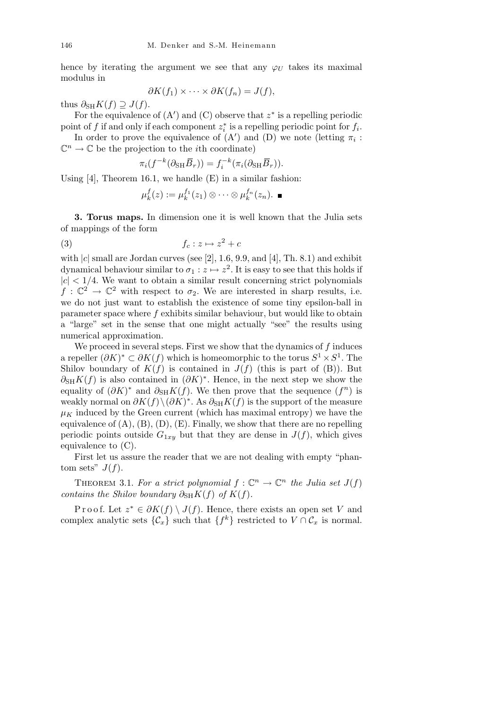hence by iterating the argument we see that any  $\varphi_U$  takes its maximal modulus in

$$
\partial K(f_1) \times \cdots \times \partial K(f_n) = J(f),
$$

thus  $\partial_{\text{SH}} K(f) \supseteq J(f)$ .

For the equivalence of  $(A')$  and  $(C)$  observe that  $z^*$  is a repelling periodic point of *f* if and only if each component  $z_i^*$  is a repelling periodic point for  $f_i$ .

In order to prove the equivalence of  $(A')$  and  $(D)$  we note (letting  $\pi_i$ :  $\mathbb{C}^n \to \mathbb{C}$  be the projection to the *i*th coordinate)

$$
\pi_i(f^{-k}(\partial_{\mathrm{SH}} \overline{B}_r)) = f_i^{-k}(\pi_i(\partial_{\mathrm{SH}} \overline{B}_r)).
$$

Using  $[4]$ , Theorem 16.1, we handle  $(E)$  in a similar fashion:

$$
\mu_k^f(z) := \mu_k^{f_1}(z_1) \otimes \cdots \otimes \mu_k^{f_n}(z_n). \blacksquare
$$

**3. Torus maps.** In dimension one it is well known that the Julia sets of mappings of the form

$$
(3) \t\t f_c: z \mapsto z^2 + c
$$

with  $|c|$  small are Jordan curves (see [2], 1.6, 9.9, and [4], Th. 8.1) and exhibit dynamical behaviour similar to  $\sigma_1 : z \mapsto z^2$ . It is easy to see that this holds if  $|c|$   $<$  1/4. We want to obtain a similar result concerning strict polynomials  $f: \mathbb{C}^2 \to \mathbb{C}^2$  with respect to  $\sigma_2$ . We are interested in sharp results, i.e. we do not just want to establish the existence of some tiny epsilon-ball in parameter space where *f* exhibits similar behaviour, but would like to obtain a "large" set in the sense that one might actually "see" the results using numerical approximation.

We proceed in several steps. First we show that the dynamics of *f* induces a repeller  $(\partial K)^* \subset \partial K(f)$  which is homeomorphic to the torus  $S^1 \times S^1$ . The Shilov boundary of  $K(f)$  is contained in  $J(f)$  (this is part of (B)). But  $\partial_{\text{SH}}K(f)$  is also contained in  $(\partial K)^*$ . Hence, in the next step we show the equality of  $(\partial K)^*$  and  $\partial_{\text{SH}}K(f)$ . We then prove that the sequence  $(f^n)$  is weakly normal on  $\partial K(f) \setminus (\partial K)^*$ . As  $\partial_{SH} K(f)$  is the support of the measure  $\mu_K$  induced by the Green current (which has maximal entropy) we have the equivalence of  $(A)$ ,  $(B)$ ,  $(D)$ ,  $(E)$ . Finally, we show that there are no repelling periodic points outside  $G_{1xy}$  but that they are dense in  $J(f)$ , which gives equivalence to (C).

First let us assure the reader that we are not dealing with empty "phantom sets"  $J(f)$ .

THEOREM 3.1. For a strict polynomial  $f: \mathbb{C}^n \to \mathbb{C}^n$  the Julia set  $J(f)$ *contains the Shilov boundary*  $\partial_{\text{SH}} K(f)$  *of*  $K(f)$ *.* 

Proof. Let  $z^* \in \partial K(f) \setminus J(f)$ . Hence, there exists an open set *V* and complex analytic sets  $\{\mathcal{C}_x\}$  such that  $\{f^k\}$  restricted to  $V \cap \mathcal{C}_x$  is normal.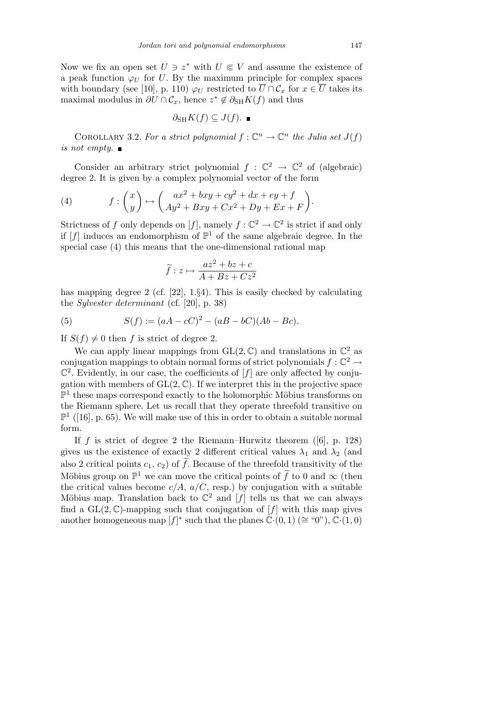Now we fix an open set  $U \ni z^*$  with  $U \in V$  and assume the existence of a peak function  $\varphi_U$  for *U*. By the maximum principle for complex spaces with boundary (see [10], p. 110)  $\varphi_U$  restricted to  $\overline{U} \cap C_x$  for  $x \in \overline{U}$  takes its maximal modulus in  $\partial U \cap C_x$ , hence  $z^* \notin \partial_{SH} K(f)$  and thus

$$
\partial_{\mathrm{SH}} K(f) \subseteq J(f). \blacksquare
$$

COROLLARY 3.2. For a strict polynomial  $f: \mathbb{C}^n \to \mathbb{C}^n$  the Julia set  $J(f)$ *is not empty.*

Consider an arbitrary strict polynomial  $f: \mathbb{C}^2 \to \mathbb{C}^2$  of (algebraic) degree 2. It is given by a complex polynomial vector of the form

(4) 
$$
f: \begin{pmatrix} x \\ y \end{pmatrix} \mapsto \begin{pmatrix} ax^2 + bxy + cy^2 + dx + ey + f \\ Ay^2 + Bxy + Cx^2 + Dy + Ex + F \end{pmatrix}.
$$

Strictness of *f* only depends on [*f*], namely  $f: \mathbb{C}^2 \to \mathbb{C}^2$  is strict if and only if  $[f]$  induces an endomorphism of  $\mathbb{P}^1$  of the same algebraic degree. In the special case (4) this means that the one-dimensional rational map

$$
\widetilde{f}: z \mapsto \frac{az^2 + bz + c}{A + Bz + Cz^2}
$$

has mapping degree 2 (cf. [22], 1.*§*4). This is easily checked by calculating the *Sylvester determinant* (cf. [20], p. 38)

(5) 
$$
S(f) := (aA - cC)^2 - (aB - bC)(Ab - Bc).
$$

If  $S(f) \neq 0$  then *f* is strict of degree 2.

We can apply linear mappings from  $GL(2,\mathbb{C})$  and translations in  $\mathbb{C}^2$  as conjugation mappings to obtain normal forms of strict polynomials  $f: \mathbb{C}^2 \to$  $\mathbb{C}^2$ . Evidently, in our case, the coefficients of  $[f]$  are only affected by conjugation with members of  $GL(2,\mathbb{C})$ . If we interpret this in the projective space  $\mathbb{P}^1$  these maps correspond exactly to the holomorphic Möbius transforms on the Riemann sphere. Let us recall that they operate threefold transitive on  $\mathbb{P}^1$  ([16], p. 65). We will make use of this in order to obtain a suitable normal form.

If *f* is strict of degree 2 the Riemann–Hurwitz theorem ([6], p. 128) gives us the existence of exactly 2 different critical values  $\lambda_1$  and  $\lambda_2$  (and also 2 critical points  $c_1, c_2$  of  $\tilde{f}$ . Because of the threefold transitivity of the Möbius group on  $\mathbb{P}^1$  we can move the critical points of  $\tilde{f}$  to 0 and  $\infty$  (then the critical values become  $c/A$ ,  $a/C$ , resp.) by conjugation with a suitable Möbius map. Translation back to  $\mathbb{C}^2$  and  $[f]$  tells us that we can always find a  $GL(2,\mathbb{C})$ -mapping such that conjugation of [f] with this map gives another homogeneous map  $[f]^*$  such that the planes  $\mathbb{C} \cdot (0,1) \ (\cong \text{``0''}), \mathbb{C} \cdot (1,0)$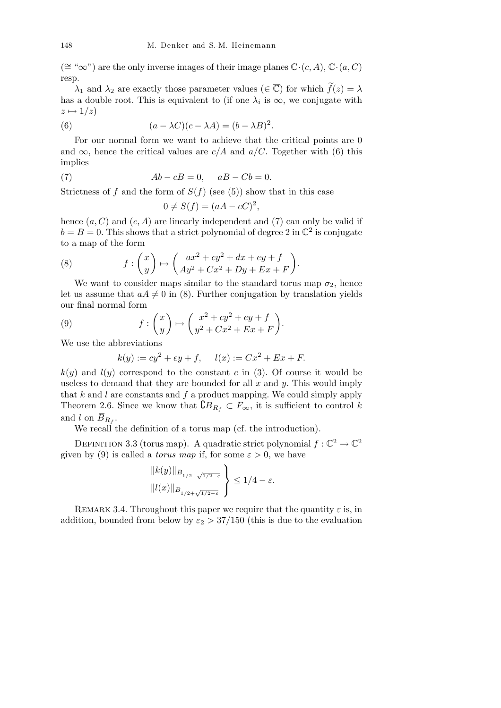(*∼*= "*∞*") are the only inverse images of their image planes C*·*(*c, A*), C*·*(*a, C*) resp.

 $\lambda_1$  and  $\lambda_2$  are exactly those parameter values ( $\in \overline{\mathbb{C}}$ ) for which  $\widetilde{f}(z) = \lambda$ has a double root. This is equivalent to (if one  $\lambda_i$  is  $\infty$ , we conjugate with  $z \mapsto 1/z$ 

(6) 
$$
(a - \lambda C)(c - \lambda A) = (b - \lambda B)^2.
$$

For our normal form we want to achieve that the critical points are 0 and  $\infty$ , hence the critical values are *c/A* and *a/C*. Together with (6) this implies

(7) 
$$
Ab - cB = 0, \quad aB - Cb = 0.
$$

Strictness of  $f$  and the form of  $S(f)$  (see (5)) show that in this case

$$
0 \neq S(f) = (aA - cC)^2,
$$

hence  $(a, C)$  and  $(c, A)$  are linearly independent and (7) can only be valid if  $b = B = 0$ . This shows that a strict polynomial of degree 2 in  $\mathbb{C}^2$  is conjugate to a map of the form

(8) 
$$
f: \begin{pmatrix} x \\ y \end{pmatrix} \mapsto \begin{pmatrix} ax^2 + cy^2 + dx + ey + f \\ Ay^2 + Cx^2 + Dy + Ex + F \end{pmatrix}.
$$

We want to consider maps similar to the standard torus map  $\sigma_2$ , hence let us assume that  $aA \neq 0$  in (8). Further conjugation by translation yields our final normal form  $\overline{\phantom{a}}$  $\mathbf{r}$  $\overline{\phantom{a}}$  $\mathbf{r}$ 

(9) 
$$
f: \begin{pmatrix} x \\ y \end{pmatrix} \mapsto \begin{pmatrix} x^2 + cy^2 + ey + f \\ y^2 + Cx^2 + Ex + F \end{pmatrix}.
$$

We use the abbreviations

$$
k(y) := cy^2 + ey + f
$$
,  $l(x) := Cx^2 + Ex + F$ .

 $k(y)$  and  $l(y)$  correspond to the constant *c* in (3). Of course it would be useless to demand that they are bounded for all *x* and *y*. This would imply that  $k$  and  $l$  are constants and  $f$  a product mapping. We could simply apply Theorem 2.6. Since we know that  $\mathcal{L}\overline{B}_{R_f} \subset F_\infty$ , it is sufficient to control *k* and *l* on  $\overline{B}_{R_f}$ .

We recall the definition of a torus map (cf. the introduction).

DEFINITION 3.3 (torus map). A quadratic strict polynomial  $f: \mathbb{C}^2 \to \mathbb{C}^2$ given by (9) is called a *torus map* if, for some  $\varepsilon > 0$ , we have  $\frac{1}{\sqrt{2}}$ 

$$
\frac{\|k(y)\|_{B_{1/2+\sqrt{1/2-\varepsilon}}}}{\|l(x)\|_{B_{1/2+\sqrt{1/2-\varepsilon}}}}\Bigg\}\leq 1/4-\varepsilon.
$$

REMARK 3.4. Throughout this paper we require that the quantity  $\varepsilon$  is, in addition, bounded from below by  $\varepsilon_2 > 37/150$  (this is due to the evaluation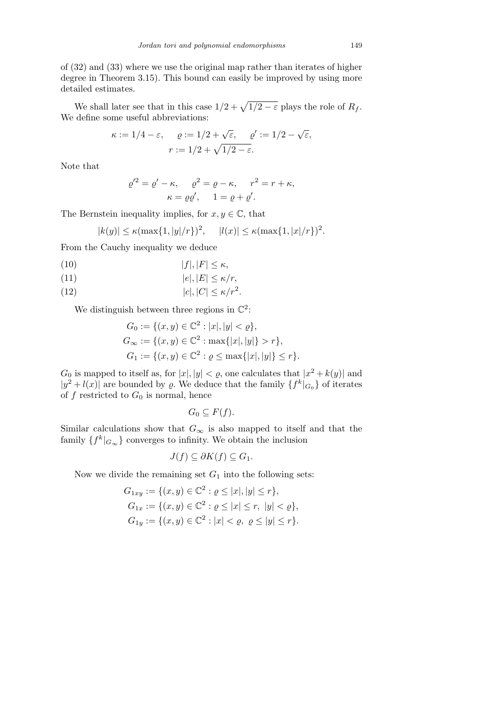of (32) and (33) where we use the original map rather than iterates of higher degree in Theorem 3.15). This bound can easily be improved by using more detailed estimates.

We shall later see that in this case  $1/2 + \sqrt{1/2 - \varepsilon}$  plays the role of  $R_f$ . We define some useful abbreviations:

$$
\kappa := 1/4 - \varepsilon, \quad \varrho := 1/2 + \sqrt{\varepsilon}, \quad \varrho' := 1/2 - \sqrt{\varepsilon},
$$

$$
r := 1/2 + \sqrt{1/2 - \varepsilon}.
$$

Note that

$$
\varrho'^2 = \varrho' - \kappa, \qquad \varrho^2 = \varrho - \kappa, \qquad r^2 = r + \kappa,
$$

$$
\kappa = \varrho \varrho', \qquad 1 = \varrho + \varrho'.
$$

The Bernstein inequality implies, for  $x, y \in \mathbb{C}$ , that

$$
|k(y)| \le \kappa (\max\{1, |y|/r\})^2, \quad |l(x)| \le \kappa (\max\{1, |x|/r\})^2.
$$

From the Cauchy inequality we deduce

$$
(10) \t\t |f|, |F| \le \kappa,
$$

(11)  $|e|, |E| \le \kappa/r$ ,

$$
(12) \t\t |c|, |C| \le \kappa/r^2.
$$

We distinguish between three regions in  $\mathbb{C}^2$ :

$$
G_0 := \{ (x, y) \in \mathbb{C}^2 : |x|, |y| < \varrho \},
$$
\n
$$
G_{\infty} := \{ (x, y) \in \mathbb{C}^2 : \max\{|x|, |y|\} > r \},
$$
\n
$$
G_1 := \{ (x, y) \in \mathbb{C}^2 : \varrho \le \max\{|x|, |y|\} \le r \}.
$$

*G*<sub>0</sub> is mapped to itself as, for  $|x|, |y| < \varrho$ , one calculates that  $|x^2 + k(y)|$  and  $|y^2 + l(x)|$  are bounded by  $\varrho$ . We deduce that the family  $\{f^k|_{G_0}\}$  of iterates of  $f$  restricted to  $G_0$  is normal, hence

 $G_0 \subseteq F(f)$ .

Similar calculations show that  $G_{\infty}$  is also mapped to itself and that the family  $\{f^k|_{G_{\infty}}\}$  converges to infinity. We obtain the inclusion

$$
J(f) \subseteq \partial K(f) \subseteq G_1.
$$

Now we divide the remaining set  $G_1$  into the following sets:

$$
G_{1xy} := \{(x, y) \in \mathbb{C}^2 : \varrho \le |x|, |y| \le r\},
$$
  
\n
$$
G_{1x} := \{(x, y) \in \mathbb{C}^2 : \varrho \le |x| \le r, |y| < \varrho\},
$$
  
\n
$$
G_{1y} := \{(x, y) \in \mathbb{C}^2 : |x| < \varrho, \varrho \le |y| \le r\}.
$$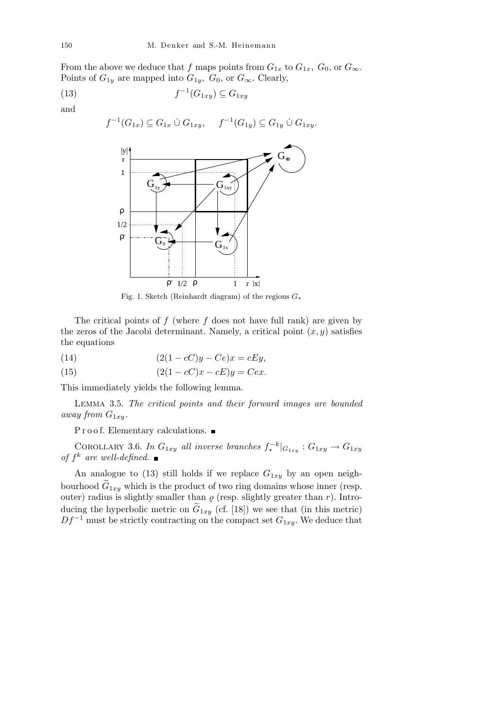From the above we deduce that *f* maps points from  $G_{1x}$  to  $G_{1x}$ *,*  $G_0$ *,* or  $G_{\infty}$ *.* Points of  $G_{1y}$  are mapped into  $G_{1y}$ *,*  $G_0$ *,* or  $G_{\infty}$ *.* Clearly,

$$
(13) \t\t f^{-1}(G_{1xy}) \subseteq G_{1xy}
$$

and

$$
f^{-1}(G_{1x}) \subseteq G_{1x} \cup G_{1xy}, \quad f^{-1}(G_{1y}) \subseteq G_{1y} \cup G_{1xy}.
$$



Fig. 1. Sketch (Reinhardt diagram) of the regions *G∗*

The critical points of *f* (where *f* does not have full rank) are given by the zeros of the Jacobi determinant. Namely, a critical point  $(x, y)$  satisfies the equations

$$
(14) \qquad (2(1 - cC)y - Ce)x = cEy,
$$

(15) 
$$
(2(1 - cC)x - cE)y = Cex.
$$

This immediately yields the following lemma.

Lemma 3.5. *The critical points and their forward images are bounded away from*  $G_{1xy}$ *.* 

Proof. Elementary calculations.  $\blacksquare$ 

COROLLARY 3.6. *In*  $G_{1xy}$  *all inverse branches*  $f_*^{-k}|_{G_{1xy}}$  :  $G_{1xy} \rightarrow G_{1xy}$ *of f k are well-defined.*

An analogue to  $(13)$  still holds if we replace  $G_{1xy}$  by an open neighbourhood  $G_{1xy}$  which is the product of two ring domains whose inner (resp. outer) radius is slightly smaller than  $\rho$  (resp. slightly greater than  $r$ ). Introducing the hyperbolic metric on  $\tilde{G}_{1xy}$  (cf. [18]) we see that (in this metric)  $Df^{-1}$  must be strictly contracting on the compact set  $G_{1xy}$ . We deduce that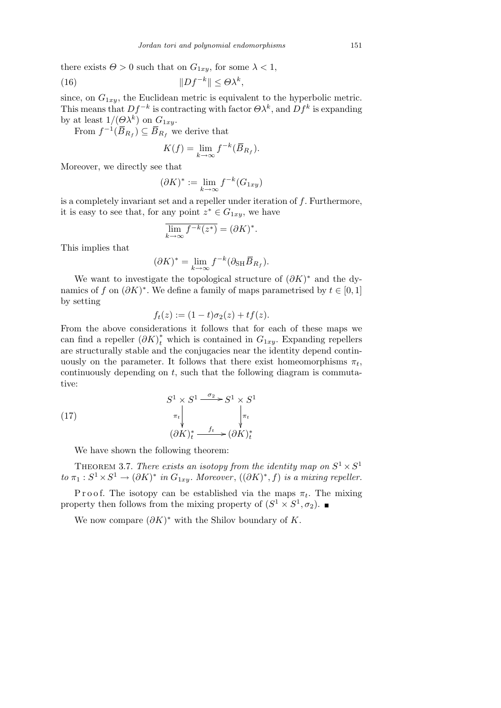there exists  $\Theta > 0$  such that on  $G_{1xy}$ , for some  $\lambda < 1$ ,

(16) 
$$
||Df^{-k}|| \leq \Theta \lambda^k,
$$

since, on  $G_{1xy}$ , the Euclidean metric is equivalent to the hyperbolic metric. This means that  $Df^{-k}$  is contracting with factor  $\Theta \lambda^k$ , and  $Df^k$  is expanding by at least  $1/(\Theta \lambda^k)$  on  $G_{1xy}$ .

From  $f^{-1}(\overline{B}_{R_f}) \subseteq \overline{B}_{R_f}$  we derive that

$$
K(f) = \lim_{k \to \infty} f^{-k}(\overline{B}_{R_f}).
$$

Moreover, we directly see that

$$
(\partial K)^* := \lim_{k \to \infty} f^{-k}(G_{1xy})
$$

is a completely invariant set and a repeller under iteration of *f*. Furthermore, it is easy to see that, for any point  $z^* \in G_{1xy}$ , we have

$$
\overline{\lim_{k \to \infty} f^{-k}(z^*)} = (\partial K)^*.
$$

This implies that

$$
(\partial K)^* = \lim_{k \to \infty} f^{-k} (\partial_{\text{SH}} \overline{B}_{R_f}).
$$

We want to investigate the topological structure of  $(\partial K)^*$  and the dynamics of *f* on  $(\partial K)^*$ . We define a family of maps parametrised by  $t \in [0, 1]$ by setting

$$
f_t(z) := (1 - t)\sigma_2(z) + tf(z).
$$

From the above considerations it follows that for each of these maps we can find a repeller  $(\partial K)^*_t$  which is contained in  $G_{1xy}$ . Expanding repellers are structurally stable and the conjugacies near the identity depend continuously on the parameter. It follows that there exist homeomorphisms  $\pi_t$ , continuously depending on *t*, such that the following diagram is commutative:

(17) 
$$
S^{1} \times S^{1} \xrightarrow{\sigma_{2}} S^{1} \times S^{1}
$$

$$
\uparrow_{\pi_{t}} \qquad \qquad \downarrow_{\pi_{t}} \qquad \qquad \downarrow_{\pi_{t}}
$$

$$
(\partial K)_{t}^{*} \xrightarrow{f_{t}} (\partial K)_{t}^{*}
$$

We have shown the following theorem:

THEOREM 3.7. *There exists an isotopy from the identity map on*  $S^1 \times S^1$ *to*  $\pi_1 : S^1 \times S^1 \to (\partial K)^*$  *in*  $G_{1xy}$ *. Moreover*,  $((\partial K)^*, f)$  *is a mixing repeller.* 

P r o o f. The isotopy can be established via the maps  $\pi_t$ . The mixing property then follows from the mixing property of  $(S^1 \times S^1, \sigma_2)$ .

We now compare  $(\partial K)^*$  with the Shilov boundary of *K*.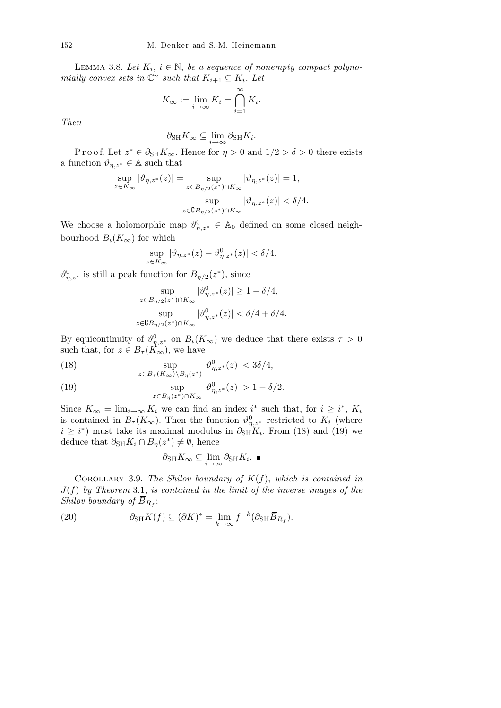LEMMA 3.8. Let  $K_i$ ,  $i \in \mathbb{N}$ , be a sequence of nonempty compact polyno*mially convex sets in*  $\mathbb{C}^n$  *such that*  $K_{i+1} \subseteq K_i$ *. Let* 

$$
K_{\infty} := \lim_{i \to \infty} K_i = \bigcap_{i=1}^{\infty} K_i.
$$

*Then*

$$
\partial_{\mathrm{SH}} K_{\infty} \subseteq \lim_{i \to \infty} \partial_{\mathrm{SH}} K_i.
$$

P r o o f. Let  $z^* \in \partial_{SH} K_\infty$ . Hence for  $\eta > 0$  and  $1/2 > \delta > 0$  there exists a function  $\vartheta_{\eta,z^*} \in A$  such that

$$
\sup_{z\in K_\infty}|\vartheta_{\eta,z^*}(z)|=\sup_{z\in B_{\eta/2}(z^*)\cap K_\infty}|\vartheta_{\eta,z^*}(z)|=1,
$$
  

$$
\sup_{z\in \mathbf{C}B_{\eta/2}(z^*)\cap K_\infty}|\vartheta_{\eta,z^*}(z)|<\delta/4.
$$

We choose a holomorphic map  $\vartheta_{\eta,z^*}^0 \in A_0$  defined on some closed neighbourhood  $\overline{B_i(K_\infty)}$  for which

$$
\sup_{z \in K_{\infty}} |\vartheta_{\eta, z^*}(z) - \vartheta_{\eta, z^*}^0(z)| < \delta/4.
$$

 $\vartheta_{\eta,z^*}^0$  is still a peak function for  $B_{\eta/2}(z^*)$ , since

$$
\sup_{z\in B_{\eta/2}(z^*)\cap K_\infty}|\vartheta_{\eta,z^*}^0(z)|\geq 1-\delta/4,
$$
  
\n
$$
\sup_{z\in \mathbb{G} B_{\eta/2}(z^*)\cap K_\infty}|\vartheta_{\eta,z^*}^0(z)|<\delta/4+\delta/4.
$$

By equicontinuity of  $\vartheta_{\eta,z^*}^0$  on  $\overline{B_i(K_\infty)}$  we deduce that there exists  $\tau > 0$ such that, for  $z \in B_{\tau}(K_{\infty})$ , we have

(18) 
$$
\sup_{z \in B_{\tau}(K_{\infty}) \backslash B_{\eta}(z^*)} |\vartheta_{\eta,z^*}^0(z)| < 3\delta/4,
$$

(19) 
$$
\sup_{z \in B_{\eta}(z^*) \cap K_{\infty}} |\vartheta_{\eta,z^*}^0(z)| > 1 - \delta/2.
$$

Since  $K_{\infty} = \lim_{i \to \infty} K_i$  we can find an index *i*<sup>\*</sup> such that, for  $i \geq i^*$ ,  $K_i$ is contained in  $B_{\tau}(K_{\infty})$ . Then the function  $\vartheta_{\eta,z^*}^0$  restricted to  $K_i$  (where  $i \geq i^*$  must take its maximal modulus in  $\partial_{SH} K_i$ . From (18) and (19) we deduce that  $\partial_{\text{SH}} K_i \cap B_{\eta}(z^*) \neq \emptyset$ , hence

$$
\partial_{\mathrm{SH}} K_{\infty} \subseteq \lim_{i \to \infty} \partial_{\mathrm{SH}} K_i. \blacksquare
$$

COROLLARY 3.9. The Shilov boundary of  $K(f)$ , which is contained in *J*(*f*) *by Theorem* 3.1, *is contained in the limit of the inverse images of the Shilov boundary of*  $\overline{B}_{R_f}$ :

(20) 
$$
\partial_{\text{SH}} K(f) \subseteq (\partial K)^* = \lim_{k \to \infty} f^{-k} (\partial_{\text{SH}} \overline{B}_{R_f}).
$$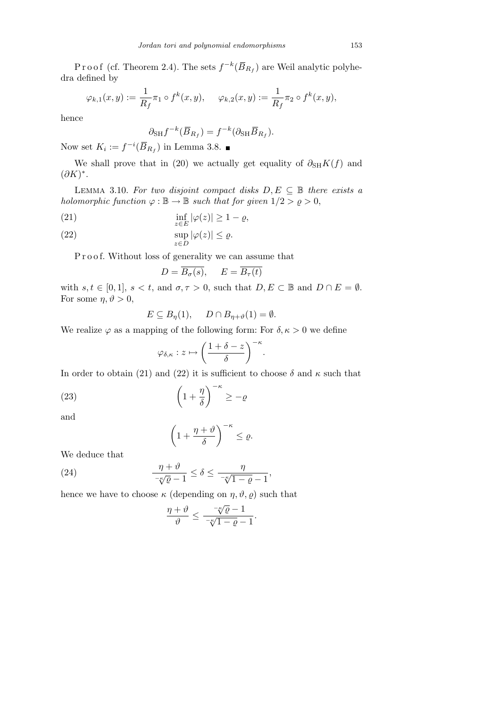Proof (cf. Theorem 2.4). The sets  $f^{-k}(\overline{B}_{R_f})$  are Weil analytic polyhedra defined by

$$
\varphi_{k,1}(x,y) := \frac{1}{R_f} \pi_1 \circ f^k(x,y), \quad \varphi_{k,2}(x,y) := \frac{1}{R_f} \pi_2 \circ f^k(x,y),
$$

hence

$$
\partial_{\rm SH} f^{-k}(\overline{B}_{R_f}) = f^{-k}(\partial_{\rm SH} \overline{B}_{R_f}).
$$

Now set  $K_i := f^{-i}(\overline{B}_{R_f})$  in Lemma 3.8.

We shall prove that in (20) we actually get equality of  $\partial_{\text{SH}}K(f)$  and (*∂K*) *∗* .

LEMMA 3.10. For two disjoint compact disks  $D, E \subseteq \mathbb{B}$  there exists a *holomorphic function*  $\varphi : \mathbb{B} \to \mathbb{B}$  *such that for given*  $1/2 > \varrho > 0$ ,

(21) 
$$
\inf_{z \in E} |\varphi(z)| \ge 1 - \varrho,
$$

(22) 
$$
\sup_{z \in D} |\varphi(z)| \leq \varrho.
$$

P r o o f. Without loss of generality we can assume that

$$
D = \overline{B_{\sigma}(s)}, \quad E = \overline{B_{\tau}(t)}
$$

with  $s, t \in [0, 1], s < t$ , and  $\sigma, \tau > 0$ , such that  $D, E \subset \mathbb{B}$  and  $D \cap E = \emptyset$ . For some  $\eta, \vartheta > 0$ ,

$$
E \subseteq B_{\eta}(1), \quad D \cap B_{\eta+\vartheta}(1) = \emptyset.
$$

We realize  $\varphi$  as a mapping of the following form: For  $\delta, \kappa > 0$  we define

$$
\varphi_{\delta,\kappa}:z\mapsto \bigg(\frac{1+\delta-z}{\delta}\bigg)^{-\kappa}.
$$

In order to obtain (21) and (22) it is sufficient to choose  $\delta$  and  $\kappa$  such that

(23) 
$$
\left(1+\frac{\eta}{\delta}\right)^{-\kappa} \geq -\varrho
$$

and

$$
\left(1+\frac{\eta+\vartheta}{\delta}\right)^{-\kappa}\leq \varrho.
$$

We deduce that

(24) 
$$
\frac{\eta + \vartheta}{-\sqrt{\varrho} - 1} \le \delta \le \frac{\eta}{-\sqrt{\gamma} - \varrho - 1},
$$

hence we have to choose  $\kappa$  (depending on  $\eta$ ,  $\vartheta$ ,  $\varrho$ ) such that

$$
\frac{\eta+\vartheta}{\vartheta} \le \frac{-\sqrt[n]{\varrho}-1}{-\sqrt[n]{1-\varrho}-1}.
$$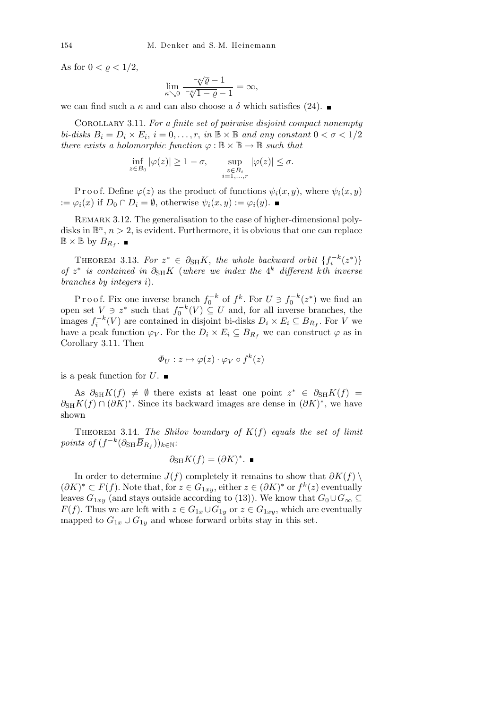As for  $0 < \varrho < 1/2$ ,

$$
\lim_{\kappa \searrow 0} \frac{-\sqrt{\varrho} - 1}{-\sqrt{\varrho} - 1} = \infty,
$$

we can find such a  $\kappa$  and can also choose a  $\delta$  which satisfies (24).

Corollary 3.11. *For a finite set of pairwise disjoint compact nonempty bi-disks*  $B_i = D_i \times E_i$ ,  $i = 0, \ldots, r$ , *in*  $\mathbb{B} \times \mathbb{B}$  *and any constant*  $0 < \sigma < 1/2$ *there exists a holomorphic function*  $\varphi : \mathbb{B} \times \mathbb{B} \to \mathbb{B}$  *such that* 

$$
\inf_{z \in B_0} |\varphi(z)| \ge 1 - \sigma, \qquad \sup_{\substack{z \in B_i \\ i = 1, \dots, r}} |\varphi(z)| \le \sigma.
$$

P r o o f. Define  $\varphi(z)$  as the product of functions  $\psi_i(x, y)$ , where  $\psi_i(x, y)$ :=  $\varphi_i(x)$  if  $D_0 \cap D_i = \emptyset$ , otherwise  $\psi_i(x, y) := \varphi_i(y)$ . ■

REMARK 3.12. The generalisation to the case of higher-dimensional polydisks in  $\mathbb{B}^n$ ,  $n > 2$ , is evident. Furthermore, it is obvious that one can replace  $\mathbb{B} \times \mathbb{B}$  by  $B_{R_f}$ .

THEOREM 3.13. For  $z^* \in \partial_{SH} K$ , the whole backward orbit  $\{f_i^{-k}(z^*)\}$  $of$  *z*<sup>\*</sup> *is contained in*  $\partial_{SH} K$  (*where we index the* 4<sup>*k*</sup> *different kth inverse branches by integers i*)*.*

P r o o f. Fix one inverse branch  $f_0^{-k}$  of  $f^k$ . For  $U \ni f_0^{-k}(z^*)$  we find an open set  $V$   $\ni$   $z^*$  such that  $f_0^{-k}(V) \subseteq U$  and, for all inverse branches, the images  $f_i^{-k}(V)$  are contained in disjoint bi-disks  $D_i \times E_i \subseteq B_{R_f}$ . For *V* we have a peak function  $\varphi_V$ . For the  $D_i \times E_i \subseteq B_{R_f}$  we can construct  $\varphi$  as in Corollary 3.11. Then

$$
\Phi_U: z \mapsto \varphi(z) \cdot \varphi_V \circ f^k(z)
$$

is a peak function for  $U$ .

As  $\partial_{SH} K(f) \neq \emptyset$  there exists at least one point  $z^* \in \partial_{SH} K(f)$  =  $\partial_{\text{SH}} K(f) \cap (\partial K)^*$ . Since its backward images are dense in  $(\partial K)^*$ , we have shown

THEOREM 3.14. *The Shilov boundary of*  $K(f)$  *equals the set of limit*  $points \ of \ (f^{-k}(\partial_{\text{SH}}\overline{B}_{R_f}))_{k\in\mathbb{N}}$ :

$$
\partial_{\mathrm{SH}} K(f) = (\partial K)^*.\ \blacksquare
$$

In order to determine  $J(f)$  completely it remains to show that  $\partial K(f)$   $\setminus$  $(\partial K)^*$  ⊂  $F(f)$ . Note that, for  $z \in G_{1xy}$ , either  $z \in (\partial K)^*$  or  $f^k(z)$  eventually leaves *G*<sub>1*xy*</sub> (and stays outside according to (13)). We know that  $G_0 \cup G_\infty \subseteq$ *F*(*f*). Thus we are left with  $z \in G_{1x} \cup G_{1y}$  or  $z \in G_{1xy}$ , which are eventually mapped to  $G_{1x} \cup G_{1y}$  and whose forward orbits stay in this set.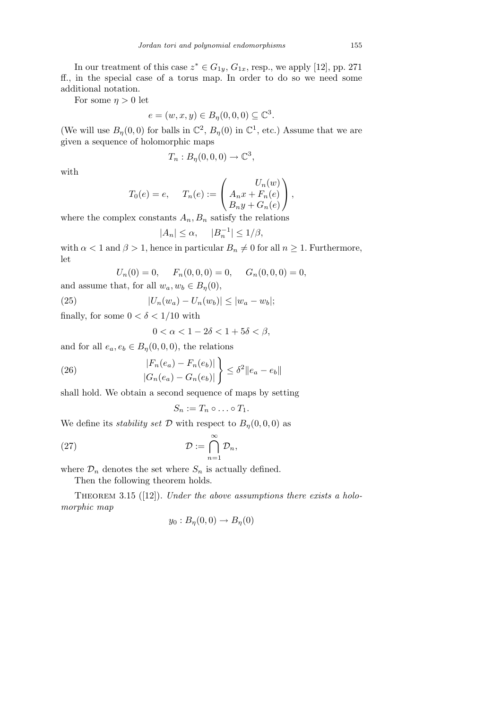In our treatment of this case  $z^* \in G_{1y}$ ,  $G_{1x}$ , resp., we apply [12], pp. 271 ff., in the special case of a torus map. In order to do so we need some additional notation.

For some  $\eta > 0$  let

$$
e = (w, x, y) \in B_{\eta}(0, 0, 0) \subseteq \mathbb{C}^{3}.
$$

(We will use  $B_{\eta}(0,0)$  for balls in  $\mathbb{C}^2$ ,  $B_{\eta}(0)$  in  $\mathbb{C}^1$ , etc.) Assume that we are given a sequence of holomorphic maps

$$
T_n: B_{\eta}(0,0,0) \to \mathbb{C}^3,
$$

with

$$
T_0(e) = e, \quad T_n(e) := \begin{pmatrix} U_n(w) \\ A_n x + F_n(e) \\ B_n y + G_n(e) \end{pmatrix},
$$

where the complex constants  $A_n$ ,  $B_n$  satisfy the relations

$$
|A_n| \le \alpha, \quad |B_n^{-1}| \le 1/\beta,
$$

with  $\alpha < 1$  and  $\beta > 1$ , hence in particular  $B_n \neq 0$  for all  $n \geq 1$ . Furthermore, let

$$
U_n(0) = 0, \quad F_n(0, 0, 0) = 0, \quad G_n(0, 0, 0) = 0,
$$

and assume that, for all  $w_a, w_b \in B_\eta(0)$ ,

(25) 
$$
|U_n(w_a) - U_n(w_b)| \le |w_a - w_b|;
$$

finally, for some  $0 < \delta < 1/10$  with

$$
0 < \alpha < 1 - 2\delta < 1 + 5\delta < \beta,
$$

and for all  $e_a, e_b \in B_\eta(0,0,0)$ , the relations

(26) 
$$
\frac{|F_n(e_a) - F_n(e_b)|}{|G_n(e_a) - G_n(e_b)|} \leq \delta^2 \|e_a - e_b\|
$$

shall hold. We obtain a second sequence of maps by setting

$$
S_n := T_n \circ \dots \circ T_1.
$$

We define its *stability set*  $D$  with respect to  $B_n(0,0,0)$  as

(27) 
$$
\mathcal{D} := \bigcap_{n=1}^{\infty} \mathcal{D}_n,
$$

where  $\mathcal{D}_n$  denotes the set where  $S_n$  is actually defined.

Then the following theorem holds.

THEOREM 3.15 ([12]). *Under the above assumptions there exists a holomorphic map*

$$
y_0: B_{\eta}(0,0) \to B_{\eta}(0)
$$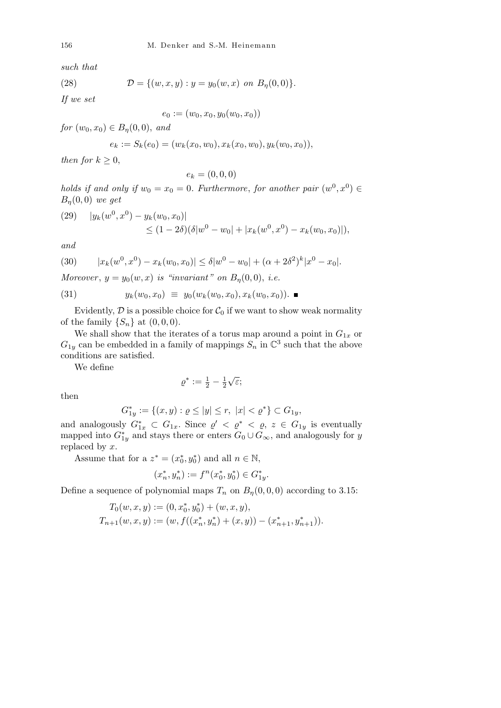*such that*

(28) 
$$
\mathcal{D} = \{ (w, x, y) : y = y_0(w, x) \text{ on } B_{\eta}(0, 0) \}.
$$

*If we set*

$$
e_0 := (w_0, x_0, y_0(w_0, x_0))
$$

*for*  $(w_0, x_0) \in B_n(0, 0)$ , *and* 

$$
e_k := S_k(e_0) = (w_k(x_0, w_0), x_k(x_0, w_0), y_k(w_0, x_0)),
$$

*then for*  $k \geq 0$ ,

$$
e_k = (0,0,0)
$$

*holds if and only if*  $w_0 = x_0 = 0$ . Furthermore, for another pair  $(w^0, x^0) \in$ *Bη*(0*,* 0) *we get*

(29) 
$$
|y_k(w^0, x^0) - y_k(w_0, x_0)|
$$
  
\n $\leq (1 - 2\delta)(\delta |w^0 - w_0| + |x_k(w^0, x^0) - x_k(w_0, x_0)|),$ 

*and*

(30) 
$$
|x_k(w^0, x^0) - x_k(w_0, x_0)| \leq \delta |w^0 - w_0| + (\alpha + 2\delta^2)^k |x^0 - x_0|.
$$

*Moreover*,  $y = y_0(w, x)$  *is "invariant" on*  $B_n(0,0)$ , *i.e.* 

$$
(31) \t y_k(w_0, x_0) \equiv y_0(w_k(w_0, x_0), x_k(w_0, x_0)). \blacksquare
$$

Evidently,  $D$  is a possible choice for  $C_0$  if we want to show weak normality of the family  $\{S_n\}$  at  $(0,0,0)$ .

We shall show that the iterates of a torus map around a point in  $G_{1x}$  or  $G_{1y}$  can be embedded in a family of mappings  $S_n$  in  $\mathbb{C}^3$  such that the above conditions are satisfied.

We define

$$
\varrho^* := \tfrac{1}{2} - \tfrac{1}{2}\sqrt{\varepsilon};
$$

then

$$
G_{1y}^* := \{(x, y) : \varrho \le |y| \le r, \ |x| < \varrho^* \} \subset G_{1y},
$$

and analogously  $G_{1x}^* \subset G_{1x}$ . Since  $\varrho' < \varrho^* < \varrho$ ,  $z \in G_{1y}$  is eventually mapped into  $G_{1y}^*$  and stays there or enters  $G_0 \cup G_{\infty}$ , and analogously for *y* replaced by *x*.

Assume that for a  $z^* = (x_0^*, y_0^*)$  and all  $n \in \mathbb{N}$ ,

$$
(x_n^*,y_n^*):=f^n(x_0^*,y_0^*)\in G_{1y}^*.
$$

Define a sequence of polynomial maps  $T_n$  on  $B_n(0,0,0)$  according to 3.15:

$$
T_0(w, x, y) := (0, x_0^*, y_0^*) + (w, x, y),
$$
  
\n
$$
T_{n+1}(w, x, y) := (w, f((x_n^*, y_n^*) + (x, y)) - (x_{n+1}^*, y_{n+1}^*)).
$$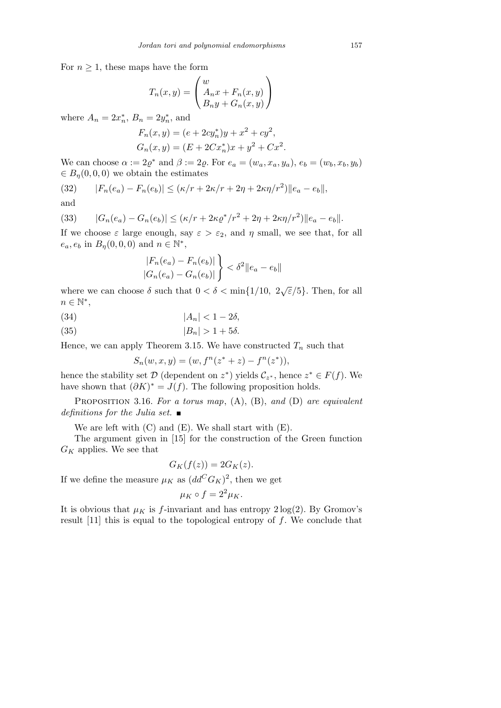For  $n \geq 1$ , these maps have the form

$$
T_n(x,y) = \begin{pmatrix} w \\ A_n x + F_n(x,y) \\ B_n y + G_n(x,y) \end{pmatrix}
$$

where  $A_n = 2x_n^*$ ,  $B_n = 2y_n^*$ , and

$$
F_n(x, y) = (e + 2cy_n^*)y + x^2 + cy^2,
$$
  
\n
$$
G_n(x, y) = (E + 2Cx_n^*)x + y^2 + Cx^2.
$$

We can choose  $α := 2ρ^*$  and  $β := 2ρ$ . For  $e_a = (w_a, x_a, y_a), e_b = (w_b, x_b, y_b)$  $\in B_n(0,0,0)$  we obtain the estimates

(32) 
$$
|F_n(e_a) - F_n(e_b)| \le (\kappa/r + 2\kappa/r + 2\eta + 2\kappa\eta/r^2) ||e_a - e_b||
$$
,

and

(33) 
$$
|G_n(e_a) - G_n(e_b)| \le (\kappa/r + 2\kappa \varrho^* / r^2 + 2\eta + 2\kappa \eta / r^2) \|e_a - e_b\|.
$$

If we choose  $\varepsilon$  large enough, say  $\varepsilon > \varepsilon_2$ , and  $\eta$  small, we see that, for all  $e_a, e_b$  in  $B_\eta(0, 0, 0)$  and  $n \in \mathbb{N}^*$ ,  $\mathbf{r}$ 

$$
\frac{|F_n(e_a) - F_n(e_b)|}{|G_n(e_a) - G_n(e_b)|} < \delta^2 \|e_a - e_b\|
$$

where we can choose  $\delta$  such that  $0 < \delta < \min\{1/10, 2\sqrt{\epsilon}/5\}$ . Then, for all *n ∈* N *∗* ,

$$
(34) \t\t |A_n| < 1 - 2\delta,
$$

$$
(35) \t\t |B_n| > 1 + 5\delta.
$$

Hence, we can apply Theorem 3.15. We have constructed  $T_n$  such that

$$
S_n(w, x, y) = (w, f^n(z^* + z) - f^n(z^*)),
$$

hence the stability set  $\mathcal{D}$  (dependent on  $z^*$ ) yields  $\mathcal{C}_{z^*}$ , hence  $z^* \in F(f)$ . We have shown that  $(\partial K)^* = J(f)$ . The following proposition holds.

Proposition 3.16. *For a torus map*, (A), (B), *and* (D) *are equivalent definitions for the Julia set.*

We are left with (C) and (E). We shall start with (E).

The argument given in [15] for the construction of the Green function *G<sup>K</sup>* applies. We see that

$$
G_K(f(z)) = 2G_K(z).
$$

If we define the measure  $\mu_K$  as  $(dd^C G_K)^2$ , then we get

$$
\mu_K \circ f = 2^2 \mu_K.
$$

It is obvious that  $\mu_K$  is *f*-invariant and has entropy  $2 \log(2)$ . By Gromov's result [11] this is equal to the topological entropy of *f*. We conclude that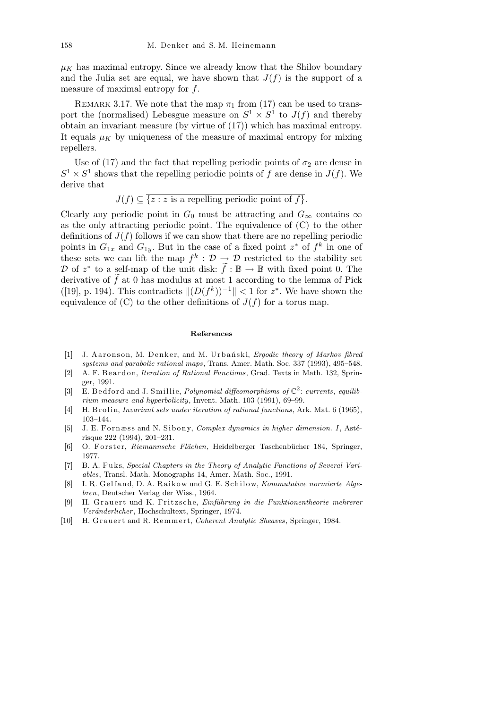$\mu_K$  has maximal entropy. Since we already know that the Shilov boundary and the Julia set are equal, we have shown that  $J(f)$  is the support of a measure of maximal entropy for *f*.

REMARK 3.17. We note that the map  $\pi_1$  from (17) can be used to transport the (normalised) Lebesgue measure on  $S^1 \times S^1$  to  $J(f)$  and thereby obtain an invariant measure (by virtue of (17)) which has maximal entropy. It equals  $\mu_K$  by uniqueness of the measure of maximal entropy for mixing repellers.

Use of (17) and the fact that repelling periodic points of  $\sigma_2$  are dense in  $S^1 \times S^1$  shows that the repelling periodic points of *f* are dense in *J*(*f*). We derive that

$$
J(f) \subseteq \overline{\{z : z \text{ is a repelling periodic point of } f\}}.
$$

Clearly any periodic point in  $G_0$  must be attracting and  $G_\infty$  contains  $\infty$ as the only attracting periodic point. The equivalence of (C) to the other definitions of  $J(f)$  follows if we can show that there are no repelling periodic points in  $G_{1x}$  and  $G_{1y}$ . But in the case of a fixed point  $z^*$  of  $f^k$  in one of these sets we can lift the map  $f^k$ :  $\mathcal{D} \to \mathcal{D}$  restricted to the stability set *D* of  $z^*$  to a self-map of the unit disk:  $\tilde{f}$  :  $\mathbb{B} \to \mathbb{B}$  with fixed point 0. The derivative of  $\tilde{f}$  at 0 has modulus at most 1 according to the lemma of Pick  $\|(D(f^k))^{-1}\| < 1$  for  $z^*$ . We have shown the equivalence of  $(C)$  to the other definitions of  $J(f)$  for a torus map.

## **References**

- [1] J. Aaronson, M. Denker, and M. Urbański, *Ergodic theory of Markov fibred systems and parabolic rational maps*, Trans. Amer. Math. Soc. 337 (1993), 495–548.
- [2] A. F. Beardon, *Iteration of Rational Functions*, Grad. Texts in Math. 132, Springer, 1991.
- [3] E. Bed ford and J. Smillie, *Polynomial diffeomorphisms of*  $\mathbb{C}^2$ : *currents*, *equilibrium measure and hyperbolicity*, Invent. Math. 103 (1991), 69–99.
- [4] H. B r oli n, *Invariant sets under iteration of rational functions*, Ark. Mat. 6 (1965), 103–144.
- [5] J. E. Fornæss and N. Sibony, *Complex dynamics in higher dimension. I*, Astérisque 222 (1994), 201–231.
- [6] O. Forster, *Riemannsche Flächen*, Heidelberger Taschenbücher 184, Springer, 1977.
- [7] B. A. Fuks, *Special Chapters in the Theory of Analytic Functions of Several Variables*, Transl. Math. Monographs 14, Amer. Math. Soc., 1991.
- [8] I. R. Gelfand, D. A. Raikow und G. E. Schilow, *Kommutative normierte Algebren*, Deutscher Verlag der Wiss., 1964.
- [9] H. G r a u e r t und K. F ri t z s c h e, *Einf¨uhrung in die Funktionentheorie mehrerer Ver¨anderlicher* , Hochschultext, Springer, 1974.
- [10] H. Grauert and R. Remmert, *Coherent Analytic Sheaves*, Springer, 1984.